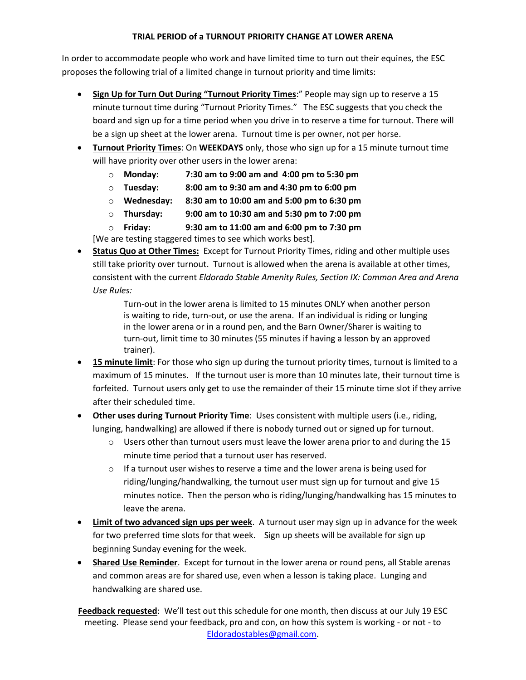## **TRIAL PERIOD of a TURNOUT PRIORITY CHANGE AT LOWER ARENA**

In order to accommodate people who work and have limited time to turn out their equines, the ESC proposes the following trial of a limited change in turnout priority and time limits:

- **Sign Up for Turn Out During "Turnout Priority Times**:" People may sign up to reserve a 15 minute turnout time during "Turnout Priority Times." The ESC suggests that you check the board and sign up for a time period when you drive in to reserve a time for turnout. There will be a sign up sheet at the lower arena. Turnout time is per owner, not per horse.
- **Turnout Priority Times**: On **WEEKDAYS** only, those who sign up for a 15 minute turnout time will have priority over other users in the lower arena:
	- o **Monday: 7:30 am to 9:00 am and 4:00 pm to 5:30 pm**
	- o **Tuesday: 8:00 am to 9:30 am and 4:30 pm to 6:00 pm**
	- o **Wednesday: 8:30 am to 10:00 am and 5:00 pm to 6:30 pm**
	- o **Thursday: 9:00 am to 10:30 am and 5:30 pm to 7:00 pm**
	- o **Friday: 9:30 am to 11:00 am and 6:00 pm to 7:30 pm**

[We are testing staggered times to see which works best].

 **Status Quo at Other Times:** Except for Turnout Priority Times, riding and other multiple uses still take priority over turnout. Turnout is allowed when the arena is available at other times, consistent with the current *Eldorado Stable Amenity Rules, Section IX: Common Area and Arena Use Rules:*

> Turn-out in the lower arena is limited to 15 minutes ONLY when another person is waiting to ride, turn-out, or use the arena. If an individual is riding or lunging in the lower arena or in a round pen, and the Barn Owner/Sharer is waiting to turn-out, limit time to 30 minutes (55 minutes if having a lesson by an approved trainer).

- **15 minute limit**: For those who sign up during the turnout priority times, turnout is limited to a maximum of 15 minutes. If the turnout user is more than 10 minutes late, their turnout time is forfeited. Turnout users only get to use the remainder of their 15 minute time slot if they arrive after their scheduled time.
- **Other uses during Turnout Priority Time**: Uses consistent with multiple users (i.e., riding, lunging, handwalking) are allowed if there is nobody turned out or signed up for turnout.
	- $\circ$  Users other than turnout users must leave the lower arena prior to and during the 15 minute time period that a turnout user has reserved.
	- $\circ$  If a turnout user wishes to reserve a time and the lower arena is being used for riding/lunging/handwalking, the turnout user must sign up for turnout and give 15 minutes notice. Then the person who is riding/lunging/handwalking has 15 minutes to leave the arena.
- **Limit of two advanced sign ups per week**. A turnout user may sign up in advance for the week for two preferred time slots for that week. Sign up sheets will be available for sign up beginning Sunday evening for the week.
- **Shared Use Reminder**. Except for turnout in the lower arena or round pens, all Stable arenas and common areas are for shared use, even when a lesson is taking place. Lunging and handwalking are shared use.

**Feedback requested**: We'll test out this schedule for one month, then discuss at our July 19 ESC meeting. Please send your feedback, pro and con, on how this system is working - or not - to [Eldoradostables@gmail.com.](mailto:Eldoradostables@gmail.com)